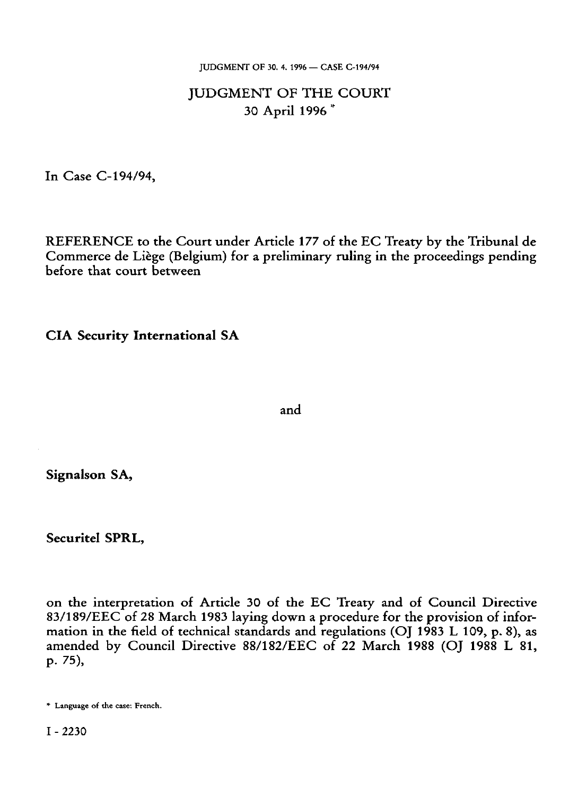#### JUDGMENT OF 30. 4. 1996 — CASE C-194/94

# JUDGMENT OF THE COURT <sup>30</sup> April <sup>1996</sup> \*

In Case C-194/94,

REFERENCE to the Court under Article 177 of the EC Treaty by the Tribunal de Commerce de Liège (Belgium) for a preliminary ruling in the proceedings pending before that court between

**CIA Security International SA**

and

**Signalson SA,**

**Securitel SPRL,**

on the interpretation of Article 30 of the EC Treaty and of Council Directive 83/189/EEC of 28 March 1983 laying down a procedure for the provision of information in the field of technical standards and regulations (OJ 1983 L 109, p. 8), as amended by Council Directive 88/182/EEC of 22 March 1988 (OJ 1988 L 81, p. 75),

**<sup>\*</sup> Language of the case: French.**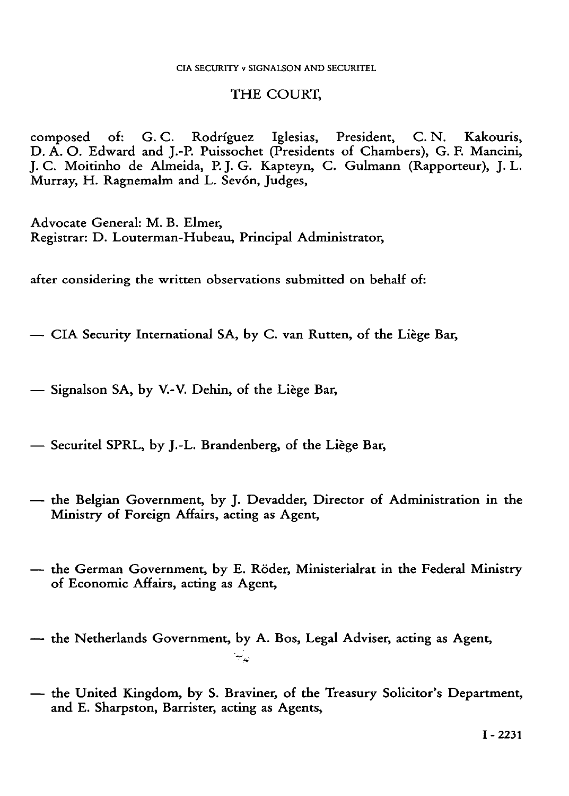### THE COURT,

composed of: G. C. Rodríguez Iglesias, President, C. N. Kakouris, D. A. O. Edward and J.-R Puissochet (Presidents of Chambers), G. E Mancini, J. C. Moitinho de Almeida, P. J. G. Kapteyn, C. Gulmann (Rapporteur), J. L. Murray, H. Ragnemalm and L. Sevón, Judges,

Advocate General: M. B. Elmer, Registrar: D. Louterman-Hubeau, Principal Administrator,

after considering the written observations submitted on behalf of:

— CIA Security International SA, by C. van Rutten, of the Liège Bar,

- Signalson SA, by V.-V. Dehin, of the Liège Bar,
- Securitel SPRL, by J.-L. Brandenberg, of the Liège Bar,
- the Belgian Government, by J. Devadder, Director of Administration in the Ministry of Foreign Affairs, acting as Agent,
- the German Government, by E. Röder, Ministerialrat in the Federal Ministry of Economic Affairs, acting as Agent,
- the Netherlands Government, by A. Bos, Legal Adviser, acting as Agent,  $\sim$   $_{\odot}$
- the United Kingdom, by S. Braviner, of the Treasury Solicitor's Department, and E. Sharpston, Barrister, acting as Agents,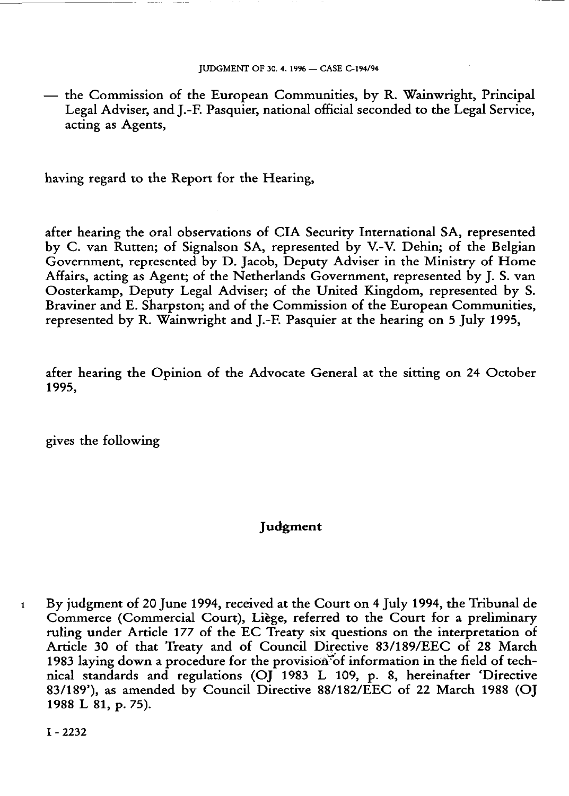— the Commission of the European Communities, by R. Wainwright, Principal Legal Adviser, and J.-F. Pasquier, national official seconded to the Legal Service, acting as Agents,

having regard to the Report for the Hearing,

after hearing the oral observations of CIA Security International SA, represented by C. van Rutten; of Signalson SA, represented by V.-V. Dehin; of the Belgian Government, represented by D. Jacob, Deputy Adviser in the Ministry of Home Affairs, acting as Agent; of the Netherlands Government, represented by J. S. van Oosterkamp, Deputy Legal Adviser; of the United Kingdom, represented by S. Braviner and E. Sharpston; and of the Commission of the European Communities, represented by R. Wainwright and J.-E Pasquier at the hearing on 5 July 1995,

after hearing the Opinion of the Advocate General at the sitting on 24 October 1995,

gives the following

### Judgment

1 By judgment of 20 June 1994, received at the Court on 4 July 1994, the Tribunal de Commerce (Commercial Court), Liège, referred to the Court for a preliminary ruling under Article 177 of the EC Treaty six questions on the interpretation of Article 30 of that Treaty and of Council Directive 83/189/EEC of 28 March 1983 laying down a procedure for the provision of information in the field of technical standards and regulations (OJ 1983 L 109, p. 8, hereinafter 'Directive 83/189'), as amended by Council Directive 88/182/EEC of 22 March 1988 (OJ 1988 L 81, p. 75).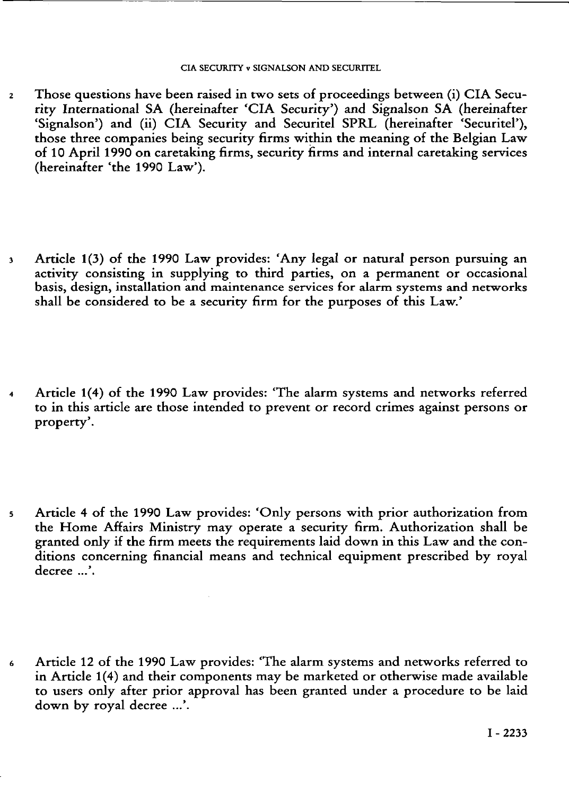- 2 Those questions have been raised in two sets of proceedings between (i) CIA Security International SA (hereinafter 'CIA Security') and Signalson SA (hereinafter 'Signalson') and (ii) CIA Security and Securitel SPRL (hereinafter 'Securitel'), those three companies being security firms within the meaning of the Belgian Law of 10 April 1990 on caretaking firms, security firms and internal caretaking services (hereinafter 'the 1990 Law').
- 3 Article 1(3) of the 1990 Law provides: 'Any legal or natural person pursuing an activity consisting in supplying to third parties, on a permanent or occasional basis, design, installation and maintenance services for alarm systems and networks shall be considered to be a security firm for the purposes of this Law.'
- Article 1(4) of the 1990 Law provides: 'The alarm systems and networks referred to in this article are those intended to prevent or record crimes against persons or property'.
- 5 Article 4 of the 1990 Law provides: 'Only persons with prior authorization from the Home Affairs Ministry may operate a security firm. Authorization shall be granted only if the firm meets the requirements laid down in this Law and the conditions concerning financial means and technical equipment prescribed by royal decree ...'.
- 6 Article 12 of the 1990 Law provides: 'The alarm systems and networks referred to in Article 1(4) and their components may be marketed or otherwise made available to users only after prior approval has been granted under a procedure to be laid down by royal decree ...'.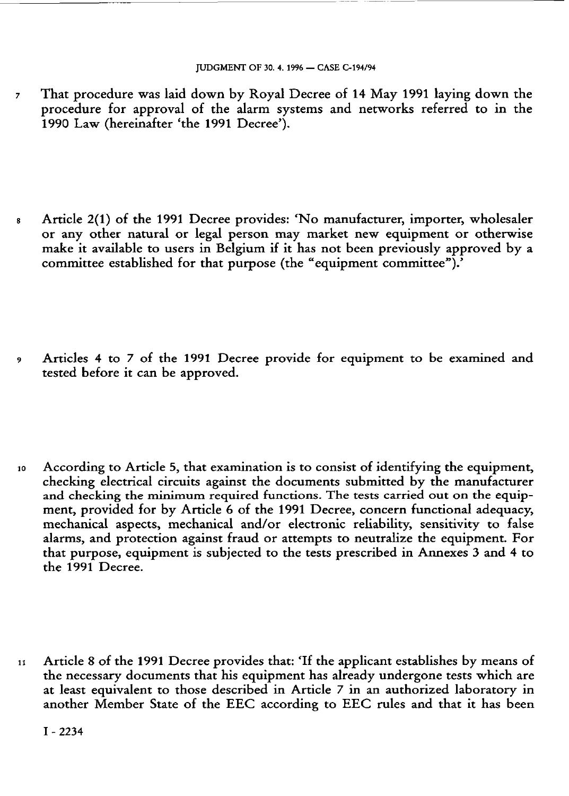7 That procedure was laid down by Royal Decree of 14 May 1991 laying down the procedure for approval of the alarm systems and networks referred to in the 1990 Law (hereinafter 'the 1991 Decree').

8 Article 2(1) of the 1991 Decree provides: 'No manufacturer, importer, wholesaler or any other natural or legal person may market new equipment or otherwise make it available to users in Belgium if it has not been previously approved by <sup>a</sup> committee established for that purpose (the "equipment committee").<sup>1</sup>

- 9 Articles 4 to 7 of the 1991 Decree provide for equipment to be examined and tested before it can be approved.
- <sup>10</sup> According to Article 5, that examination is to consist of identifying the equipment, checking electrical circuits against the documents submitted by the manufacturer and checking the minimum required functions. The tests carried out on the equipment, provided for by Article 6 of the 1991 Decree, concern functional adequacy, mechanical aspects, mechanical and/or electronic reliability, sensitivity to false alarms, and protection against fraud or attempts to neutralize the equipment. For that purpose, equipment is subjected to the tests prescribed in Annexes 3 and 4 to the 1991 Decree.
- 11 Article 8 of the 1991 Decree provides that: 'If the applicant establishes by means of the necessary documents that his equipment has already undergone tests which are at least equivalent to those described in Article 7 in an authorized laboratory in another Member State of the EEC according to EEC rules and that it has been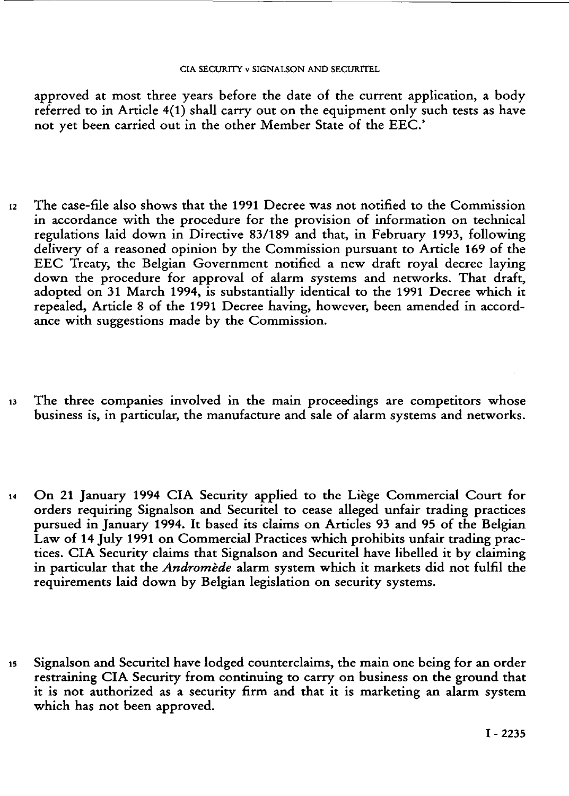approved at most three years before the date of the current application, a body referred to in Article 4(1) shall carry out on the equipment only such tests as have not yet been carried out in the other Member State of the EEC.'

- <sup>12</sup> The case-file also shows that the 1991 Decree was not notified to the Commission in accordance with the procedure for the provision of information on technical regulations laid down in Directive 83/189 and that, in February 1993, following delivery of a reasoned opinion by the Commission pursuant to Article 169 of the EEC Treaty, the Belgian Government notified a new draft royal decree laying down the procedure for approval of alarm systems and networks. That draft, adopted on 31 March 1994, is substantially identical to the 1991 Decree which it repealed, Article 8 of the 1991 Decree having, however, been amended in accordance with suggestions made by the Commission.
- 13 The three companies involved in the main proceedings are competitors whose business is, in particular, the manufacture and sale of alarm systems and networks.
- 14 On 21 January 1994 CIA Security applied to the Liège Commercial Court for orders requiring Signalson and Securitel to cease alleged unfair trading practices pursued in January 1994. It based its claims on Articles 93 and 95 of the Belgian Law of 14 July 1991 on Commercial Practices which prohibits unfair trading practices. CIA Security claims that Signalson and Securitel have libelled it by claiming in particular that the *Andromède* alarm system which it markets did not fulfil the requirements laid down by Belgian legislation on security systems.
- 15 Signalson and Securitel have lodged counterclaims, the main one being for an order restraining CIA Security from continuing to carry on business on the ground that it is not authorized as <sup>a</sup> security firm and that it is marketing an alarm system which has not been approved.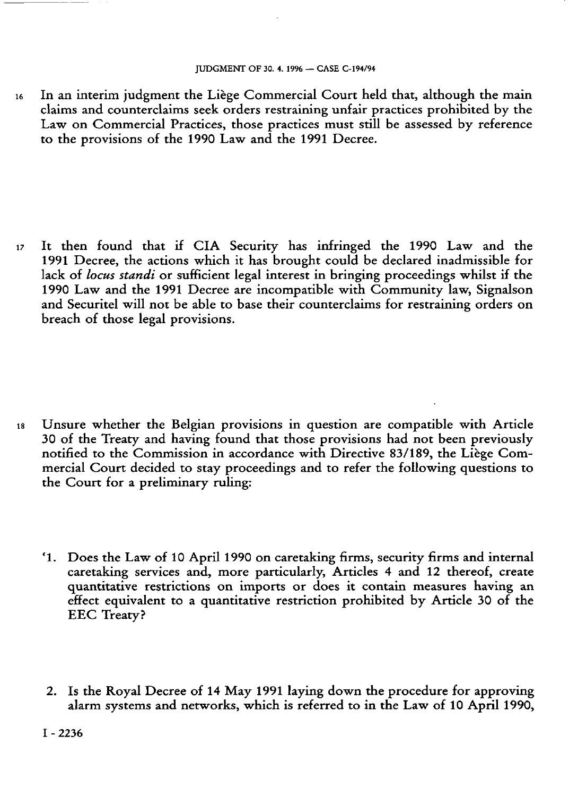#### JUDGMENT OF 30. 4. 1996 — CASE C-194/94

<sup>16</sup> In an interim judgment the Liège Commercial Court held that, although the main claims and counterclaims seek orders restraining unfair practices prohibited by the Law on Commercial Practices, those practices must still be assessed by reference to the provisions of the 1990 Law and the 1991 Decree.

<sup>17</sup> It then found that if CIA Security has infringed the 1990 Law and the 1991 Decree, the actions which it has brought could be declared inadmissible for lack of *locus standi* or sufficient legal interest in bringing proceedings whilst if the 1990 Law and the 1991 Decree are incompatible with Community law, Signalson and Securitel will not be able to base their counterclaims for restraining orders on breach of those legal provisions.

- <sup>18</sup> Unsure whether the Belgian provisions in question are compatible with Article 30 of the Treaty and having found that those provisions had not been previously notified to the Commission in accordance with Directive 83/189, the Liège Commercial Court decided to stay proceedings and to refer the following questions to the Court for a preliminary ruling:
	- '1. Does the Law of 10 April 1990 on caretaking firms, security firms and internal caretaking services and, more particularly, Articles 4 and 12 thereof, create quantitative restrictions on imports or does it contain measures having an effect equivalent to a quantitative restriction prohibited by Article 30 of the EEC Treaty?
	- 2. Is the Royal Decree of 14 May 1991 laying down the procedure for approving alarm systems and networks, which is referred to in the Law of 10 April 1990,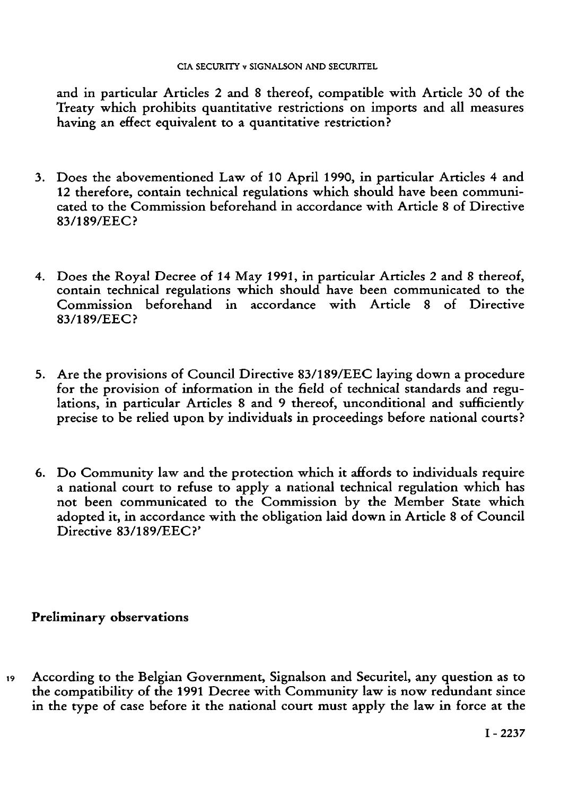and in particular Articles 2 and 8 thereof, compatible with Article 30 of the Treaty which prohibits quantitative restrictions on imports and all measures having an effect equivalent to a quantitative restriction?

- 3. Does the abovementioned Law of 10 April 1990, in particular Articles 4 and 12 therefore, contain technical regulations which should have been communicated to the Commission beforehand in accordance with Article 8 of Directive 83/189/EEC?
- 4. Does the Royal Decree of 14 May 1991, in particular Articles 2 and 8 thereof, contain technical regulations which should have been communicated to the Commission beforehand in accordance with Article 8 of Directive 83/189/EEC?
- 5. Are the provisions of Council Directive 83/189/EEC laying down a procedure for the provision of information in the field of technical standards and regulations, in particular Articles 8 and 9 thereof, unconditional and sufficiently precise to be relied upon by individuals in proceedings before national courts?
- 6. Do Community law and the protection which it affords to individuals require a national court to refuse to apply a national technical regulation which has not been communicated to the Commission by the Member State which adopted it, in accordance with the obligation laid down in Article 8 of Council Directive 83/189/EEC?'

# **Preliminary observations**

19 According to the Belgian Government, Signalson and Securitel, any question as to the compatibility of the 1991 Decree with Community law is now redundant since in the type of case before it the national court must apply the law in force at the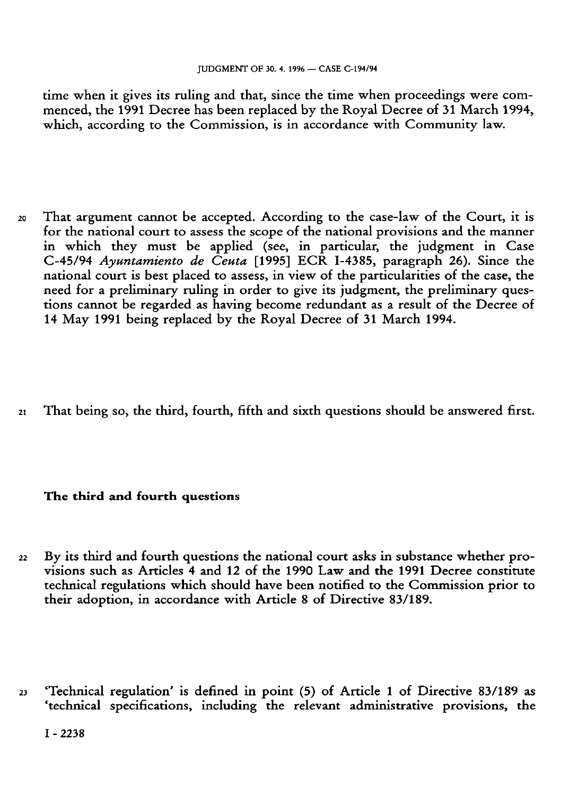time when it gives its ruling and that, since the time when proceedings were commenced, the 1991 Decree has been replaced by the Royal Decree of 31 March 1994, which, according to the Commission, is in accordance with Community law.

- <sup>20</sup> That argument cannot be accepted. According to the case-law of the Court, it is for the national court to assess the scope of the national provisions and the manner in which they must be applied (see, in particular, the judgment in Case C-45/94 *Ayuntamiento de Ceuta* [1995] ECR 1-4385, paragraph 26). Since the national court is best placed to assess, in view of the particularities of the case, the need for a preliminary ruling in order to give its judgment, the preliminary questions cannot be regarded as having become redundant as a result of the Decree of 14 May 1991 being replaced by the Royal Decree of 31 March 1994.
- 21 That being so, the third, fourth, fifth and sixth questions should be answered first.

## **The third and fourth** questions

- <sup>22</sup> By its third and fourth questions the national court asks in substance whether provisions such as Articles 4 and 12 of the 1990 Law and the 1991 Decree constitute technical regulations which should have been notified to the Commission prior to their adoption, in accordance with Article 8 of Directive 83/189.
- <sup>23</sup> 'Technical regulation' is defined in point (5) of Article 1 of Directive 83/189 as 'technical specifications, including the relevant administrative provisions, the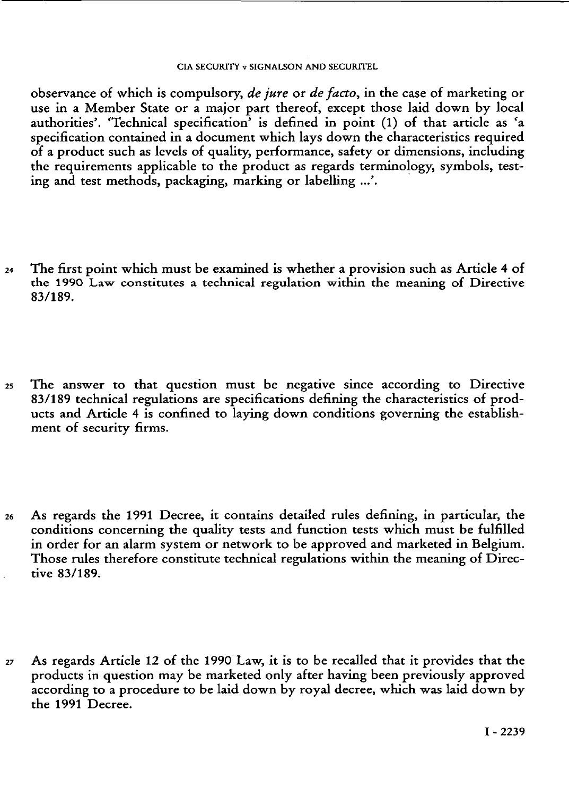observance of which is compulsory, *de jure* or *de facto,* in the case of marketing or use in a Member State or a major part thereof, except those laid down by local authorities'. 'Technical specification' is defined in point (1) of that article as 'a specification contained in a document which lays down the characteristics required of a product such as levels of quality, performance, safety or dimensions, including the requirements applicable to the product as regards terminology, symbols, testing and test methods, packaging, marking or labelling ...'.

- <sup>24</sup> The first point which must be examined is whether a provision such as Article 4 of the 1990 Law constitutes a technical regulation within the meaning of Directive 83/189.
- <sup>25</sup> The answer to that question must be negative since according to Directive 83/189 technical regulations are specifications defining the characteristics of products and Article 4 is confined to laying down conditions governing the establishment of security firms.
- <sup>26</sup> As regards the 1991 Decree, it contains detailed rules defining, in particular, the conditions concerning the quality tests and function tests which must be fulfilled in order for an alarm system or network to be approved and marketed in Belgium. Those rules therefore constitute technical regulations within the meaning of Directive 83/189.
- <sup>27</sup> As regards Article 12 of the 1990 Law, it is to be recalled that it provides that the products in question may be marketed only after having been previously approved according to a procedure to be laid down by royal decree, which was laid down by the 1991 Decree.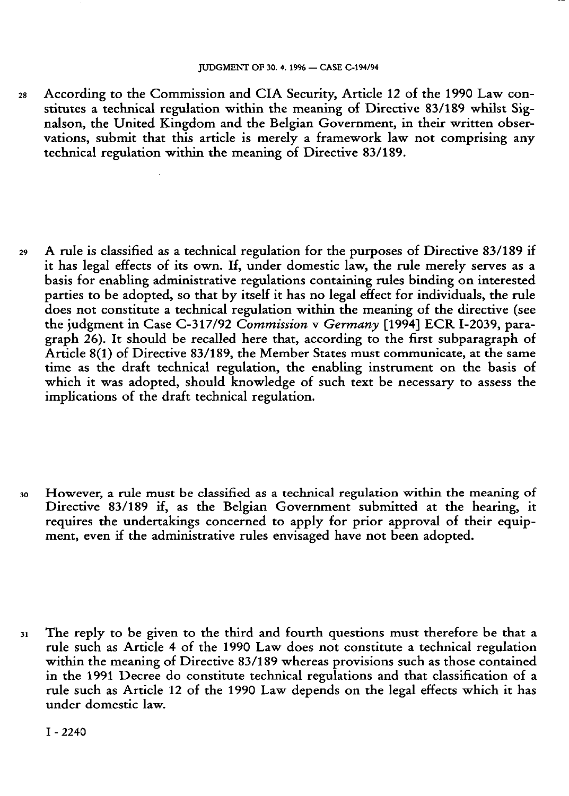<sup>28</sup> According to the Commission and CIA Security, Article 12 of the 1990 Law constitutes a technical regulation within the meaning of Directive 83/189 whilst Signalson, the United Kingdom and the Belgian Government, in their written observations, submit that this article is merely a framework law not comprising any technical regulation within the meaning of Directive 83/189.

<sup>29</sup> A rule is classified as <sup>a</sup> technical regulation for the purposes of Directive 83/189 if it has legal effects of its own. If, under domestic law, the rule merely serves as <sup>a</sup> basis for enabling administrative regulations containing rules binding on interested parties to be adopted, so that by itself it has no legal effect for individuals, the rule does not constitute a technical regulation within the meaning of the directive (see the judgment in Case C-317/92 *Commission* v *Germany* [1994] ECR 1-2039, paragraph 26). It should be recalled here that, according to the first subparagraph of Article 8(1) of Directive 83/189, the Member States must communicate, at the same time as the draft technical regulation, the enabling instrument on the basis of which it was adopted, should knowledge of such text be necessary to assess the implications of the draft technical regulation.

<sup>30</sup> However, a rule must be classified as a technical regulation within the meaning of Directive 83/189 if, as the Belgian Government submitted at the hearing, it requires the undertakings concerned to apply for prior approval of their equipment, even if the administrative rules envisaged have not been adopted.

<sup>31</sup> The reply to be given to the third and fourth questions must therefore be that a rule such as Article 4 of the 1990 Law does not constitute a technical regulation within the meaning of Directive 83/189 whereas provisions such as those contained in the 1991 Decree do constitute technical regulations and that classification of a rule such as Article 12 of the 1990 Law depends on the legal effects which it has under domestic law.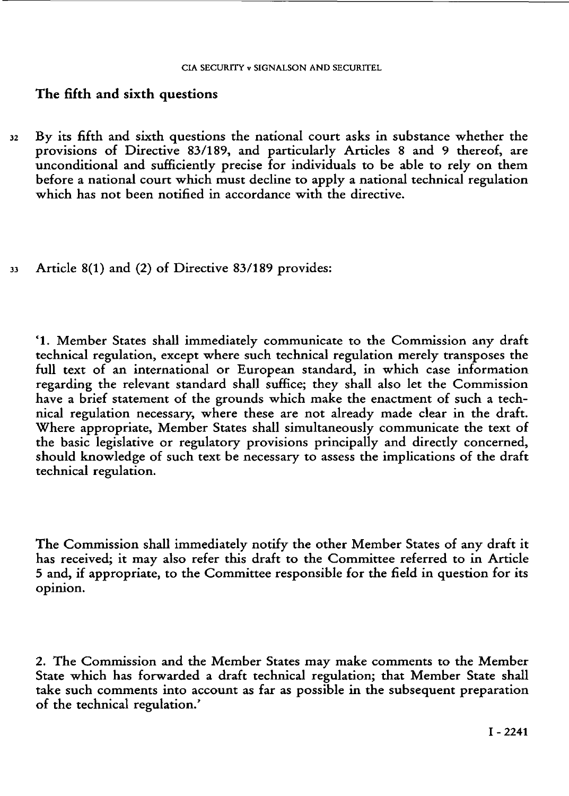## **The fifth and sixth questions**

- <sup>32</sup> By its fifth and sixth questions the national court asks in substance whether the provisions of Directive 83/189, and particularly Articles 8 and 9 thereof, are unconditional and sufficiently precise for individuals to be able to rely on them before a national court which must decline to apply a national technical regulation which has not been notified in accordance with the directive.
- <sup>33</sup> Article 8(1) and (2) of Directive 83/189 provides:

'1. Member States shall immediately communicate to the Commission any draft technical regulation, except where such technical regulation merely transposes the full text of an international or European standard, in which case information regarding the relevant standard shall suffice; they shall also let the Commission have a brief statement of the grounds which make the enactment of such a technical regulation necessary, where these are not already made clear in the draft. Where appropriate, Member States shall simultaneously communicate the text of the basic legislative or regulatory provisions principally and directly concerned, should knowledge of such text be necessary to assess the implications of the draft technical regulation.

The Commission shall immediately notify the other Member States of any draft it has received; it may also refer this draft to the Committee referred to in Article 5 and, if appropriate, to the Committee responsible for the field in question for its opinion.

2. The Commission and the Member States may make comments to the Member State which has forwarded a draft technical regulation; that Member State shall take such comments into account as far as possible in the subsequent preparation of the technical regulation.'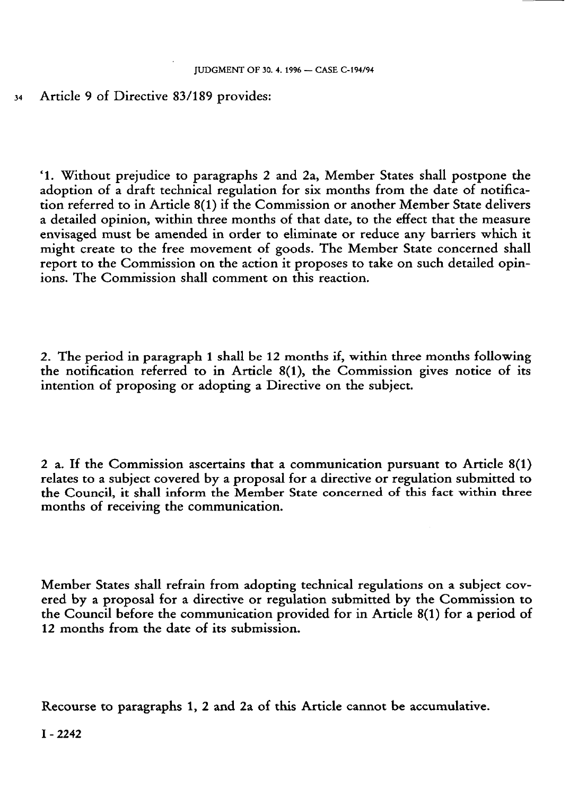<sup>34</sup> Article 9 of Directive 83/189 provides:

'1. Without prejudice to paragraphs 2 and 2a, Member States shall postpone the adoption of a draft technical regulation for six months from the date of notification referred to in Article 8(1) if the Commission or another Member State delivers a detailed opinion, within three months of that date, to the effect that the measure envisaged must be amended in order to eliminate or reduce any barriers which it might create to the free movement of goods. The Member State concerned shall report to the Commission on the action it proposes to take on such detailed opinions. The Commission shall comment on this reaction.

2. The period in paragraph 1 shall be 12 months if, within three months following the notification referred to in Article 8(1), the Commission gives notice of its intention of proposing or adopting a Directive on the subject.

2 a. If the Commission ascertains that <sup>a</sup> communication pursuant to Article 8(1) relates to a subject covered by a proposal for a directive or regulation submitted to the Council, it shall inform the Member State concerned of this fact within three months of receiving the communication.

Member States shall refrain from adopting technical regulations on a subject covered by a proposal for a directive or regulation submitted by the Commission to the Council before the communication provided for in Article 8(1) for a period of 12 months from the date of its submission.

Recourse to paragraphs 1, 2 and 2a of this Article cannot be accumulative.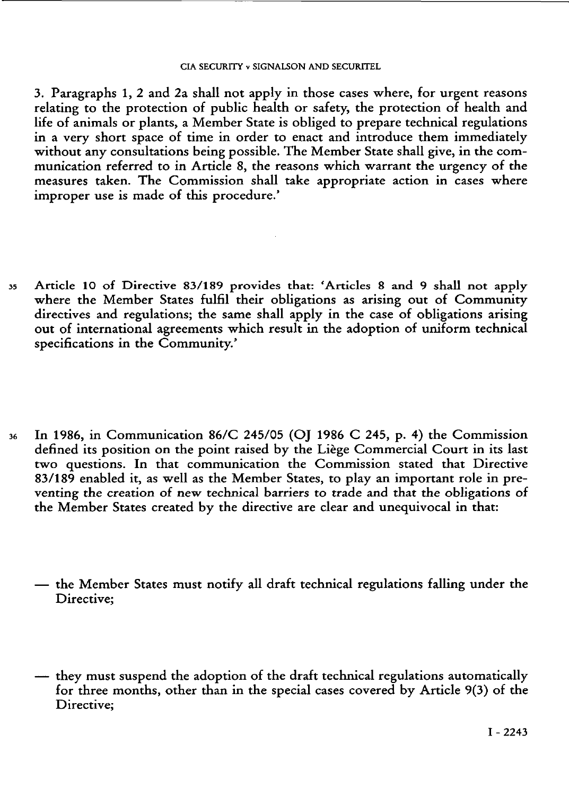3. Paragraphs 1, 2 and 2a shall not apply in those cases where, for urgent reasons relating to the protection of public health or safety, the protection of health and life of animals or plants, a Member State is obliged to prepare technical regulations in a very short space of time in order to enact and introduce them immediately without any consultations being possible. The Member State shall give, in the communication referred to in Article 8, the reasons which warrant the urgency of the measures taken. The Commission shall take appropriate action in cases where improper use is made of this procedure.'

- <sup>35</sup> Article 10 of Directive 83/189 provides that: 'Articles 8 and 9 shall not apply where the Member States fulfil their obligations as arising out of Community directives and regulations; the same shall apply in the case of obligations arising out of international agreements which result in the adoption of uniform technical specifications in the Community.'
- <sup>36</sup> In 1986, in Communication 86/C 245/05 (OJ 1986 C 245, p. 4) the Commission defined its position on the point raised by the Liège Commercial Court in its last two questions. In that communication the Commission stated that Directive 83/189 enabled it, as well as the Member States, to play an important role in preventing the creation of new technical barriers to trade and that the obligations of the Member States created by the directive are clear and unequivocal in that:
	- the Member States must notify all draft technical regulations falling under the Directive;
	- they must suspend the adoption of the draft technical regulations automatically for three months, other than in the special cases covered by Article 9(3) of the Directive;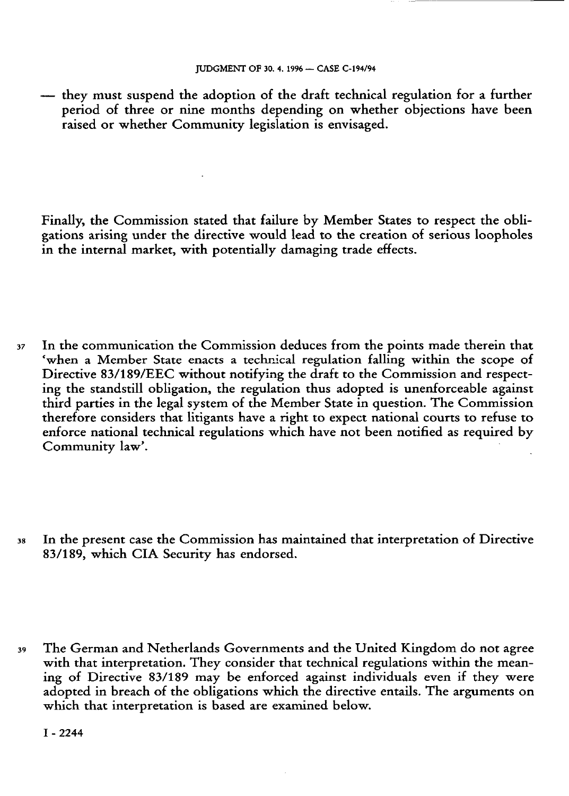— they must suspend the adoption of the draft technical regulation for a further period of three or nine months depending on whether objections have been raised or whether Community legislation is envisaged.

Finally, the Commission stated that failure by Member States to respect the obligations arising under the directive would lead to the creation of serious loopholes in the internal market, with potentially damaging trade effects.

<sup>37</sup> In the communication the Commission deduces from the points made therein that 'when a Member State enacts a technical regulation falling within the scope of Directive 83/189/EEC without notifying the draft to the Commission and respecting the standstill obligation, the regulation thus adopted is unenforceable against third parties in the legal system of the Member State in question. The Commission therefore considers that litigants have a right to expect national courts to refuse to enforce national technical regulations which have not been notified as required by Community law'.

- <sup>38</sup> In the present case the Commission has maintained that interpretation of Directive 83/189, which CIA Security has endorsed.
- <sup>39</sup> The German and Netherlands Governments and the United Kingdom do not agree with that interpretation. They consider that technical regulations within the meaning of Directive 83/189 may be enforced against individuals even if they were adopted in breach of the obligations which the directive entails. The arguments on which that interpretation is based are examined below.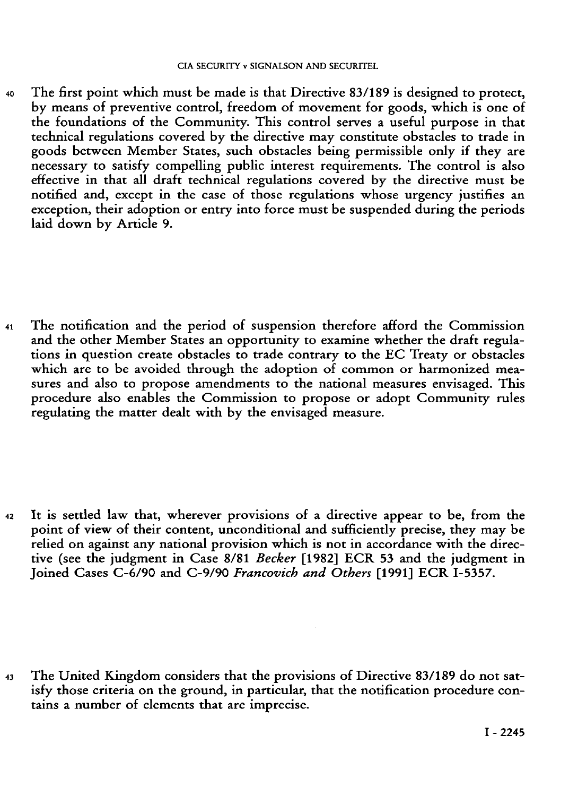<sup>40</sup> The first point which must be made is that Directive 83/189 is designed to protect, by means of preventive control, freedom of movement for goods, which is one of the foundations of the Community. This control serves a useful purpose in that technical regulations covered by the directive may constitute obstacles to trade in goods between Member States, such obstacles being permissible only if they are necessary to satisfy compelling public interest requirements. The control is also effective in that all draft technical regulations covered by the directive must be notified and, except in the case of those regulations whose urgency justifies an exception, their adoption or entry into force must be suspended during the periods laid down by Article 9.

41 The notification and the period of suspension therefore afford the Commission and the other Member States an opportunity to examine whether the draft regulations in question create obstacles to trade contrary to the EC Treaty or obstacles which are to be avoided through the adoption of common or harmonized measures and also to propose amendments to the national measures envisaged. This procedure also enables the Commission to propose or adopt Community rules regulating the matter dealt with by the envisaged measure.

<sup>42</sup> It is settled law that, wherever provisions of <sup>a</sup> directive appear to be, from the point of view of their content, unconditional and sufficiently precise, they may be relied on against any national provision which is not in accordance with the directive (see the judgment in Case 8/81 *Becker* [1982] ECR 53 and the judgment in Joined Cases C-6/90 and C-9/90 *Francovich and Others* [1991] ECR 1-5357.

<sup>43</sup> The United Kingdom considers that the provisions of Directive 83/189 do not satisfy those criteria on the ground, in particular, that the notification procedure contains a number of elements that are imprecise.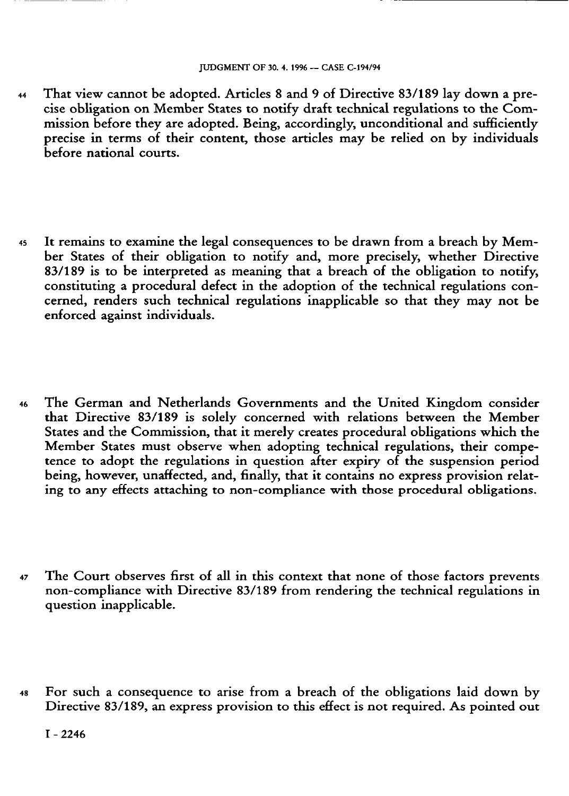- <sup>44</sup> That view cannot be adopted. Articles 8 and 9 of Directive 83/189 lay down a precise obligation on Member States to notify draft technical regulations to the Commission before they are adopted. Being, accordingly, unconditional and sufficiently precise in terms of their content, those articles may be relied on by individuals before national courts.
- <sup>45</sup> It remains to examine the legal consequences to be drawn from <sup>a</sup> breach by Member States of their obligation to notify and, more precisely, whether Directive 83/189 is to be interpreted as meaning that a breach of the obligation to notify, constituting a procedural defect in the adoption of the technical regulations concerned, renders such technical regulations inapplicable so that they may not be enforced against individuals.
- <sup>46</sup> The German and Netherlands Governments and the United Kingdom consider that Directive 83/189 is solely concerned with relations between the Member States and the Commission, that it merely creates procedural obligations which the Member States must observe when adopting technical regulations, their competence to adopt the regulations in question after expiry of the suspension period being, however, unaffected, and, finally, that it contains no express provision relating to any effects attaching to non-compliance with those procedural obligations.
- <sup>47</sup> The Court observes first of all in this context that none of those factors prevents non-compliance with Directive 83/189 from rendering the technical regulations in question inapplicable.
- <sup>48</sup> For such a consequence to arise from a breach of the obligations laid down by Directive 83/189, an express provision to this effect is not required. As pointed out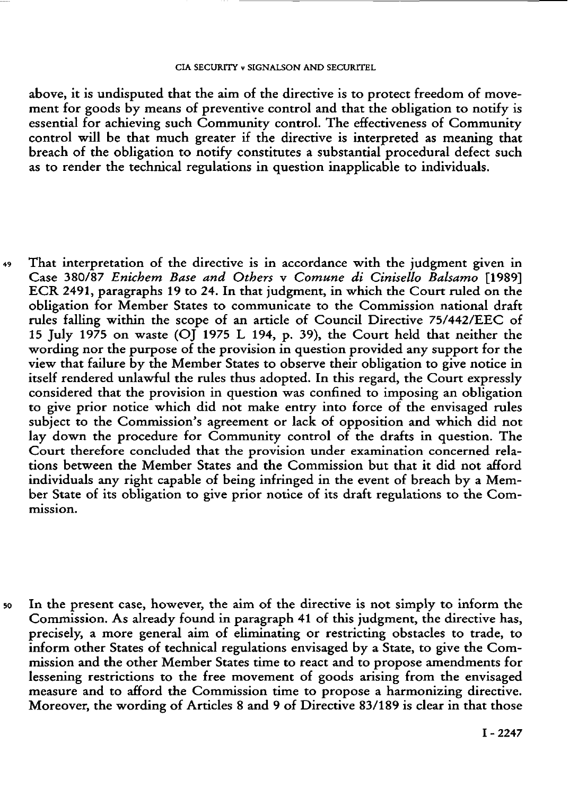above, it is undisputed that the aim of the directive is to protect freedom of movement for goods by means of preventive control and that the obligation to notify is essential for achieving such Community control. The effectiveness of Community control will be that much greater if the directive is interpreted as meaning that breach of the obligation to notify constitutes a substantial procedural defect such as to render the technical regulations in question inapplicable to individuals.

<sup>49</sup> That interpretation of the directive is in accordance with the judgment given in Case 380/87 *Enichem Base and Others* v *Comune di Cinisello Balsamo* [1989] ECR 2491, paragraphs 19 to 24. In that judgment, in which the Court ruled on the obligation for Member States to communicate to the Commission national draft rules falling within the scope of an article of Council Directive 75/442/EEC of 15 July 1975 on waste (OJ 1975 L 194, p. 39), the Court held that neither the wording nor the purpose of the provision in question provided any support for the view that failure by the Member States to observe their obligation to give notice in itself rendered unlawful the rules thus adopted. In this regard, the Court expressly considered that the provision in question was confined to imposing an obligation to give prior notice which did not make entry into force of the envisaged rules subject to the Commission's agreement or lack of opposition and which did not lay down the procedure for Community control of the drafts in question. The Court therefore concluded that the provision under examination concerned relations between the Member States and the Commission but that it did not afford individuals any right capable of being infringed in the event of breach by a Member State of its obligation to give prior notice of its draft regulations to the Commission.

<sup>50</sup> In the present case, however, the aim of the directive is not simply to inform the Commission. As already found in paragraph 41 of this judgment, the directive has, precisely, a more general aim of eliminating or restricting obstacles to trade, to inform other States of technical regulations envisaged by a State, to give the Commission and the other Member States time to react and to propose amendments for lessening restrictions to the free movement of goods arising from the envisaged measure and to afford the Commission time to propose a harmonizing directive. Moreover, the wording of Articles 8 and 9 of Directive 83/189 is clear in that those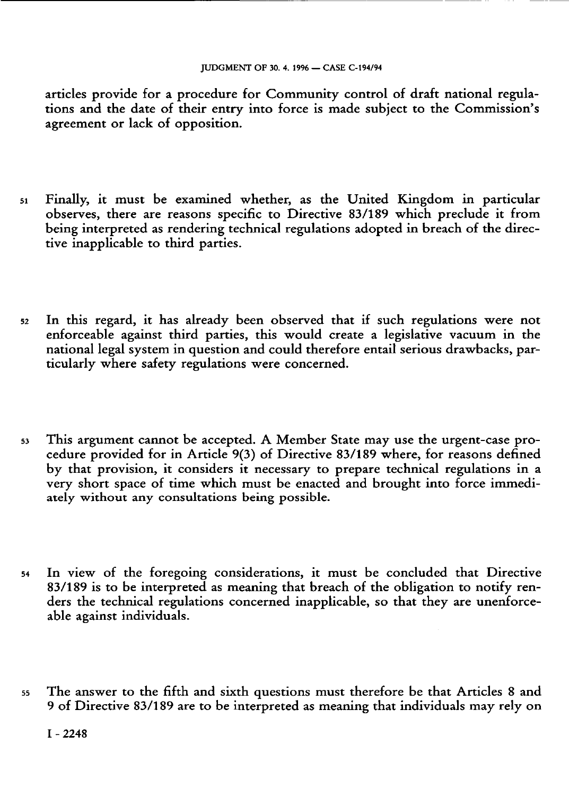articles provide for a procedure for Community control of draft national regulations and the date of their entry into force is made subject to the Commission's agreement or lack of opposition.

- <sup>51</sup> Finally, it must be examined whether, as the United Kingdom in particular observes, there are reasons specific to Directive 83/189 which preclude it from being interpreted as rendering technical regulations adopted in breach of the directive inapplicable to third parties.
- <sup>52</sup> In this regard, it has already been observed that if such regulations were not enforceable against third parties, this would create a legislative vacuum in the national legal system in question and could therefore entail serious drawbacks, particularly where safety regulations were concerned.
- <sup>53</sup> This argument cannot be accepted. A Member State may use the urgent-case procedure provided for in Article 9(3) of Directive 83/189 where, for reasons defined by that provision, it considers it necessary to prepare technical regulations in <sup>a</sup> very short space of time which must be enacted and brought into force immediately without any consultations being possible.
- <sup>54</sup> In view of the foregoing considerations, it must be concluded that Directive 83/189 is to be interpreted as meaning that breach of the obligation to notify renders the technical regulations concerned inapplicable, so that they are unenforceable against individuals.
- <sup>55</sup> The answer to the fifth and sixth questions must therefore be that Articles 8 and 9 of Directive 83/189 are to be interpreted as meaning that individuals may rely on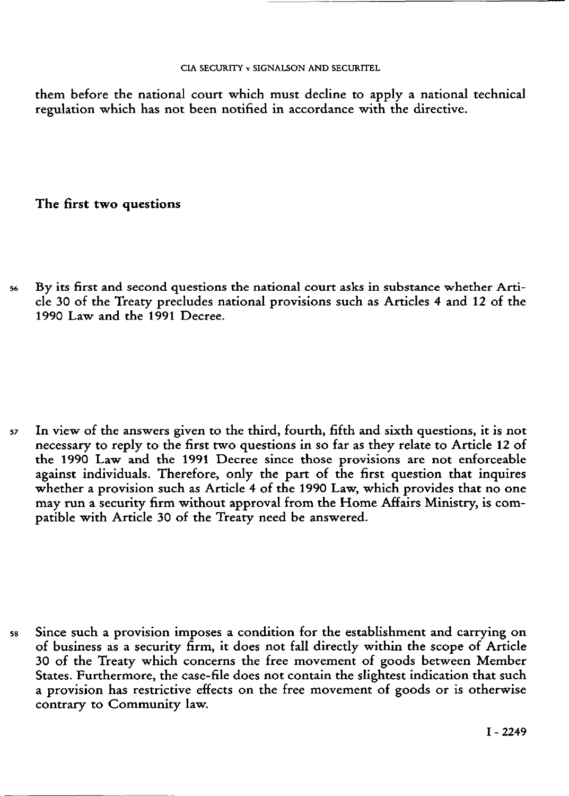them before the national court which must decline to apply a national technical regulation which has not been notified in accordance with the directive.

### **The first two questions**

<sup>56</sup> By its first and second questions the national court asks in substance whether Article 30 of the Treaty precludes national provisions such as Articles 4 and 12 of the 1990 Law and the 1991 Decree.

<sup>57</sup> In view of the answers given to the third, fourth, fifth and sixth questions, it is not necessary to reply to the first two questions in so far as they relate to Article 12 of the 1990 Law and the 1991 Decree since those provisions are not enforceable against individuals. Therefore, only the part of the first question that inquires whether a provision such as Article 4 of the 1990 Law, which provides that no one may run a security firm without approval from the Home Affairs Ministry, is compatible with Article 30 of the Treaty need be answered.

<sup>58</sup> Since such a provision imposes a condition for the establishment and carrying on of business as <sup>a</sup> security firm, it does not fall directly within the scope of Article 30 of the Treaty which concerns the free movement of goods between Member States. Furthermore, the case-file does not contain the slightest indication that such a provision has restrictive effects on the free movement of goods or is otherwise contrary to Community law.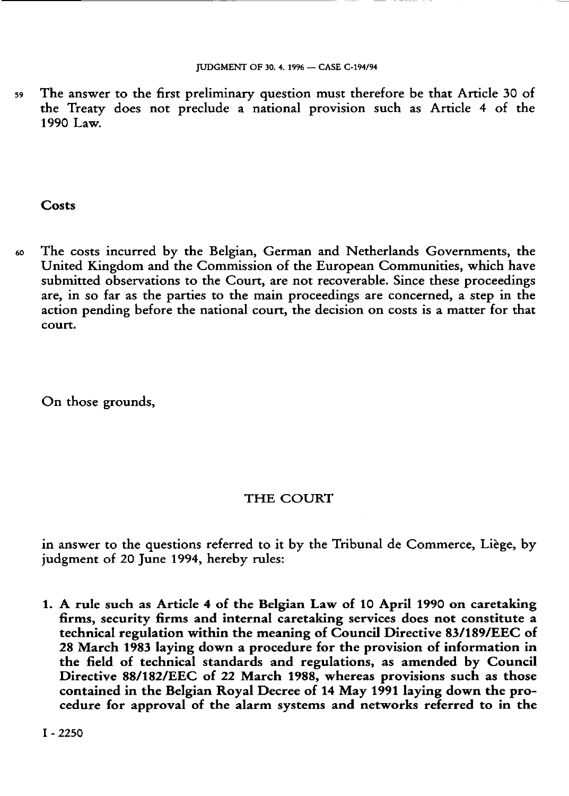<sup>59</sup> The answer to the first preliminary question must therefore be that Article 30 of the Treaty does not preclude a national provision such as Article 4 of the 1990  $\overline{L_{av}}$ 

### **Costs**

<sup>60</sup> The costs incurred by the Belgian, German and Netherlands Governments, the United Kingdom and the Commission of the European Communities, which have submitted observations to the Court, are not recoverable. Since these proceedings are, in so far as the parties to the main proceedings are concerned, a step in the action pending before the national court, the decision on costs is a matter for that court.

On those grounds,

# THE COURT

in answer to the questions referred to it by the Tribunal de Commerce, Liège, by judgment of **20** June 1994, hereby rules:

**1. A rule such as Article 4 of the Belgian Law of 10 April 1990 on caretaking firms, security firms and internal caretaking services does not constitute a technical regulation within the meaning of Council Directive 83/189/EEC of 28 March 1983 laying down a procedure for the provision of information in the field of technical standards and regulations, as amended by Council Directive 88/182/EEC of 22 March 1988, whereas provisions such as those contained in the Belgian Royal Decree of 14 May 1991 laying down the procedure for approval of the alarm systems and networks referred to in the**